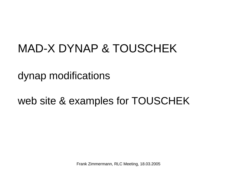## MAD-X DYNAP & TOUSCHEK

dynap modifications

web site & examples for TOUSCHEK

Frank Zimmermann, RLC Meeting, 18.03.2005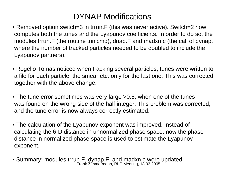## DYNAP Modifications

- Removed option switch=3 in trrun.F (this was never active). Switch=2 now computes both the tunes and the Lyapunov coefficients. In order to do so, the modules trrun.F (the routine trinicmd), dnap.F and madxn.c (the call of dynap, where the number of tracked particles needed to be doubled to include the Lyapunov partners).
- Rogelio Tomas noticed when tracking several particles, tunes were written to a file for each particle, the smear etc. only for the last one. This was corrected together with the above change.
- The tune error sometimes was very large >0.5, when one of the tunes was found on the wrong side of the half integer. This problem was corrected, and the tune error is now always correctly estimated.
- The calculation of the Lyapunov exponent was improved. Instead of calculating the 6-D distance in unnormaliz e d phase space, now the phase distance in normalized phase space is used to estimate the Lyapunov exponent.
- Frank Zimmermann, RLC Meeting, 18.03.2005 • Summary: modules trrun.F, dynap.F, and madxn.c were updated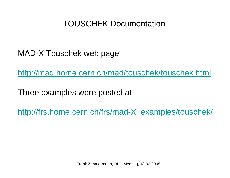## TOUSCHEK Documentation

MAD-X Touschek web page

<http://mad.home.cern.ch/mad/touschek/touschek.html>

Three examples were posted at

[http://frs.home.cern.ch/frs/mad-X\\_examples/touschek/](http://frs.home.cern.ch/frs/mad-X_examples/touschek/)

Frank Zimmermann, RLC Meeting, 18.03.2005